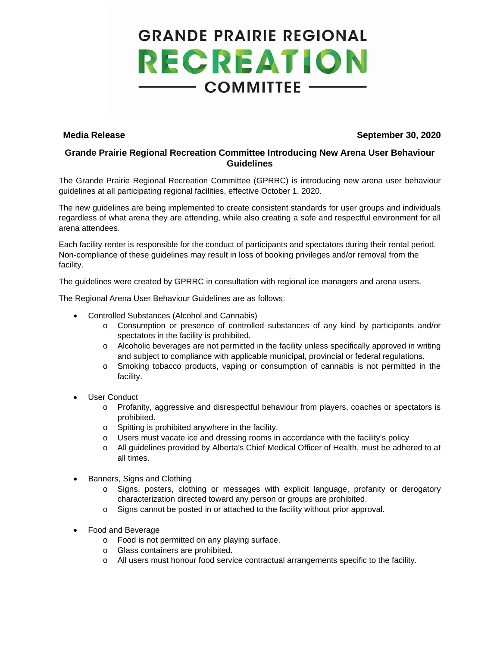# **GRANDE PRAIRIE REGIONAL RECREATION**  $-$  COMMITTEE  $-$

### **Media Release September 30, 2020**

## **Grande Prairie Regional Recreation Committee Introducing New Arena User Behaviour Guidelines**

The Grande Prairie Regional Recreation Committee (GPRRC) is introducing new arena user behaviour guidelines at all participating regional facilities, effective October 1, 2020.

The new guidelines are being implemented to create consistent standards for user groups and individuals regardless of what arena they are attending, while also creating a safe and respectful environment for all arena attendees.

Each facility renter is responsible for the conduct of participants and spectators during their rental period. Non-compliance of these guidelines may result in loss of booking privileges and/or removal from the facility.

The guidelines were created by GPRRC in consultation with regional ice managers and arena users.

The Regional Arena User Behaviour Guidelines are as follows:

- Controlled Substances (Alcohol and Cannabis)
	- o Consumption or presence of controlled substances of any kind by participants and/or spectators in the facility is prohibited.
	- o Alcoholic beverages are not permitted in the facility unless specifically approved in writing and subject to compliance with applicable municipal, provincial or federal regulations.
	- o Smoking tobacco products, vaping or consumption of cannabis is not permitted in the facility.
- User Conduct
	- o Profanity, aggressive and disrespectful behaviour from players, coaches or spectators is prohibited.
	- o Spitting is prohibited anywhere in the facility.
	- $\circ$  Users must vacate ice and dressing rooms in accordance with the facility's policy
	- o All guidelines provided by Alberta's Chief Medical Officer of Health, must be adhered to at all times.
- Banners, Signs and Clothing
	- o Signs, posters, clothing or messages with explicit language, profanity or derogatory characterization directed toward any person or groups are prohibited.
	- o Signs cannot be posted in or attached to the facility without prior approval.
- Food and Beverage
	- o Food is not permitted on any playing surface.
	- o Glass containers are prohibited.
	- o All users must honour food service contractual arrangements specific to the facility.